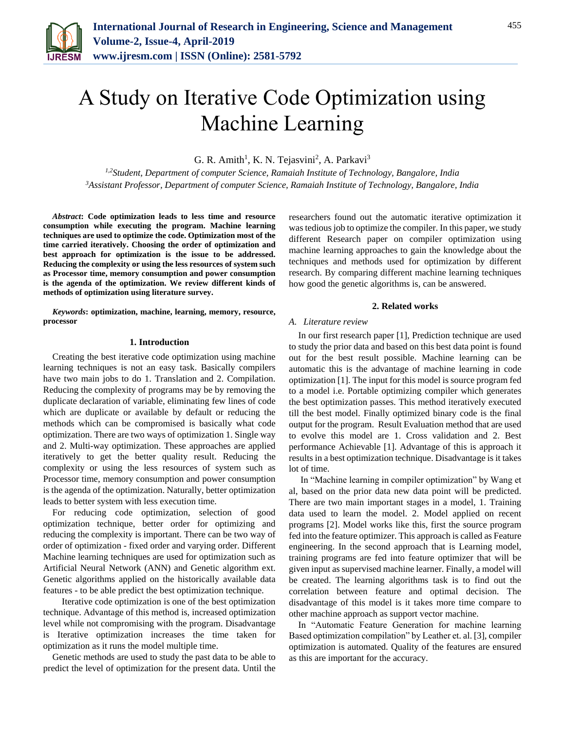

G. R. Amith<sup>1</sup>, K. N. Tejasvini<sup>2</sup>, A. Parkavi<sup>3</sup>

*1,2Student, Department of computer Science, Ramaiah Institute of Technology, Bangalore, India 3Assistant Professor, Department of computer Science, Ramaiah Institute of Technology, Bangalore, India*

*Abstract***: Code optimization leads to less time and resource consumption while executing the program. Machine learning techniques are used to optimize the code. Optimization most of the time carried iteratively. Choosing the order of optimization and best approach for optimization is the issue to be addressed. Reducing the complexity or using the less resources of system such as Processor time, memory consumption and power consumption is the agenda of the optimization. We review different kinds of methods of optimization using literature survey.**

*Keywords***: optimization, machine, learning, memory, resource, processor**

#### **1. Introduction**

Creating the best iterative code optimization using machine learning techniques is not an easy task. Basically compilers have two main jobs to do 1. Translation and 2. Compilation. Reducing the complexity of programs may be by removing the duplicate declaration of variable, eliminating few lines of code which are duplicate or available by default or reducing the methods which can be compromised is basically what code optimization. There are two ways of optimization 1. Single way and 2. Multi-way optimization. These approaches are applied iteratively to get the better quality result. Reducing the complexity or using the less resources of system such as Processor time, memory consumption and power consumption is the agenda of the optimization. Naturally, better optimization leads to better system with less execution time.

For reducing code optimization, selection of good optimization technique, better order for optimizing and reducing the complexity is important. There can be two way of order of optimization - fixed order and varying order. Different Machine learning techniques are used for optimization such as Artificial Neural Network (ANN) and Genetic algorithm ext. Genetic algorithms applied on the historically available data features - to be able predict the best optimization technique.

Iterative code optimization is one of the best optimization technique. Advantage of this method is, increased optimization level while not compromising with the program. Disadvantage is Iterative optimization increases the time taken for optimization as it runs the model multiple time.

Genetic methods are used to study the past data to be able to predict the level of optimization for the present data. Until the

researchers found out the automatic iterative optimization it was tedious job to optimize the compiler. In this paper, we study different Research paper on compiler optimization using machine learning approaches to gain the knowledge about the techniques and methods used for optimization by different research. By comparing different machine learning techniques how good the genetic algorithms is, can be answered.

### **2. Related works**

# *A. Literature review*

In our first research paper [1], Prediction technique are used to study the prior data and based on this best data point is found out for the best result possible. Machine learning can be automatic this is the advantage of machine learning in code optimization [1]. The input for this model is source program fed to a model i.e. Portable optimizing compiler which generates the best optimization passes. This method iteratively executed till the best model. Finally optimized binary code is the final output for the program. Result Evaluation method that are used to evolve this model are 1. Cross validation and 2. Best performance Achievable [1]. Advantage of this is approach it results in a best optimization technique. Disadvantage is it takes lot of time.

In "Machine learning in compiler optimization" by Wang et al, based on the prior data new data point will be predicted. There are two main important stages in a model, 1. Training data used to learn the model. 2. Model applied on recent programs [2]. Model works like this, first the source program fed into the feature optimizer. This approach is called as Feature engineering. In the second approach that is Learning model, training programs are fed into feature optimizer that will be given input as supervised machine learner. Finally, a model will be created. The learning algorithms task is to find out the correlation between feature and optimal decision. The disadvantage of this model is it takes more time compare to other machine approach as support vector machine.

In "Automatic Feature Generation for machine learning Based optimization compilation" by Leather et. al. [3], compiler optimization is automated. Quality of the features are ensured as this are important for the accuracy.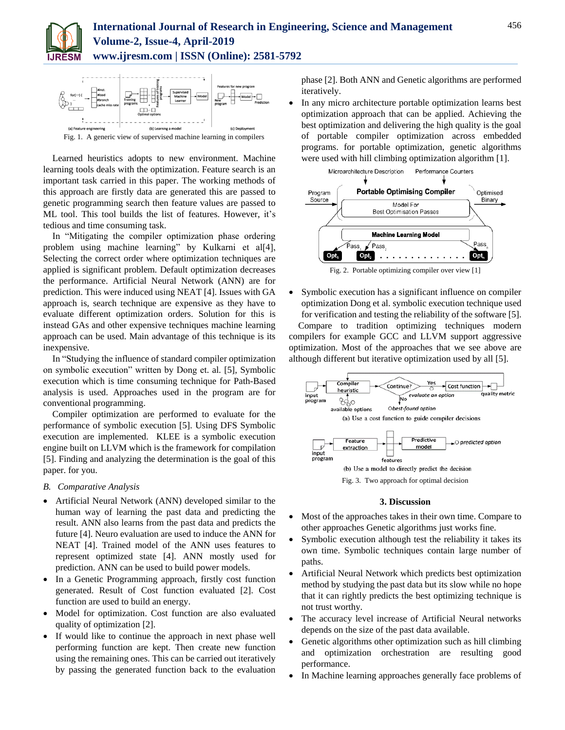



Fig. 1. A generic view of supervised machine learning in compilers

Learned heuristics adopts to new environment. Machine learning tools deals with the optimization. Feature search is an important task carried in this paper. The working methods of this approach are firstly data are generated this are passed to genetic programming search then feature values are passed to ML tool. This tool builds the list of features. However, it's tedious and time consuming task.

In "Mitigating the compiler optimization phase ordering problem using machine learning" by Kulkarni et al[4], Selecting the correct order where optimization techniques are applied is significant problem. Default optimization decreases the performance. Artificial Neural Network (ANN) are for prediction. This were induced using NEAT [4]. Issues with GA approach is, search technique are expensive as they have to evaluate different optimization orders. Solution for this is instead GAs and other expensive techniques machine learning approach can be used. Main advantage of this technique is its inexpensive.

In "Studying the influence of standard compiler optimization on symbolic execution" written by Dong et. al. [5], Symbolic execution which is time consuming technique for Path-Based analysis is used. Approaches used in the program are for conventional programming.

Compiler optimization are performed to evaluate for the performance of symbolic execution [5]. Using DFS Symbolic execution are implemented. KLEE is a symbolic execution engine built on LLVM which is the framework for compilation [5]. Finding and analyzing the determination is the goal of this paper. for you.

# *B. Comparative Analysis*

- Artificial Neural Network (ANN) developed similar to the human way of learning the past data and predicting the result. ANN also learns from the past data and predicts the future [4]. Neuro evaluation are used to induce the ANN for NEAT [4]. Trained model of the ANN uses features to represent optimized state [4]. ANN mostly used for prediction. ANN can be used to build power models.
- In a Genetic Programming approach, firstly cost function generated. Result of Cost function evaluated [2]. Cost function are used to build an energy.
- Model for optimization. Cost function are also evaluated quality of optimization [2].
- If would like to continue the approach in next phase well performing function are kept. Then create new function using the remaining ones. This can be carried out iteratively by passing the generated function back to the evaluation

phase [2]. Both ANN and Genetic algorithms are performed iteratively.

 In any micro architecture portable optimization learns best optimization approach that can be applied. Achieving the best optimization and delivering the high quality is the goal of portable compiler optimization across embedded programs. for portable optimization, genetic algorithms were used with hill climbing optimization algorithm [1].



Fig. 2. Portable optimizing compiler over view [1]

• Symbolic execution has a significant influence on compiler optimization Dong et al. symbolic execution technique used for verification and testing the reliability of the software [5]. Compare to tradition optimizing techniques modern compilers for example GCC and LLVM support aggressive optimization. Most of the approaches that we see above are



### **3. Discussion**

- Most of the approaches takes in their own time. Compare to other approaches Genetic algorithms just works fine.
- Symbolic execution although test the reliability it takes its own time. Symbolic techniques contain large number of paths.
- Artificial Neural Network which predicts best optimization method by studying the past data but its slow while no hope that it can rightly predicts the best optimizing technique is not trust worthy.
- The accuracy level increase of Artificial Neural networks depends on the size of the past data available.
- Genetic algorithms other optimization such as hill climbing and optimization orchestration are resulting good performance.
- In Machine learning approaches generally face problems of